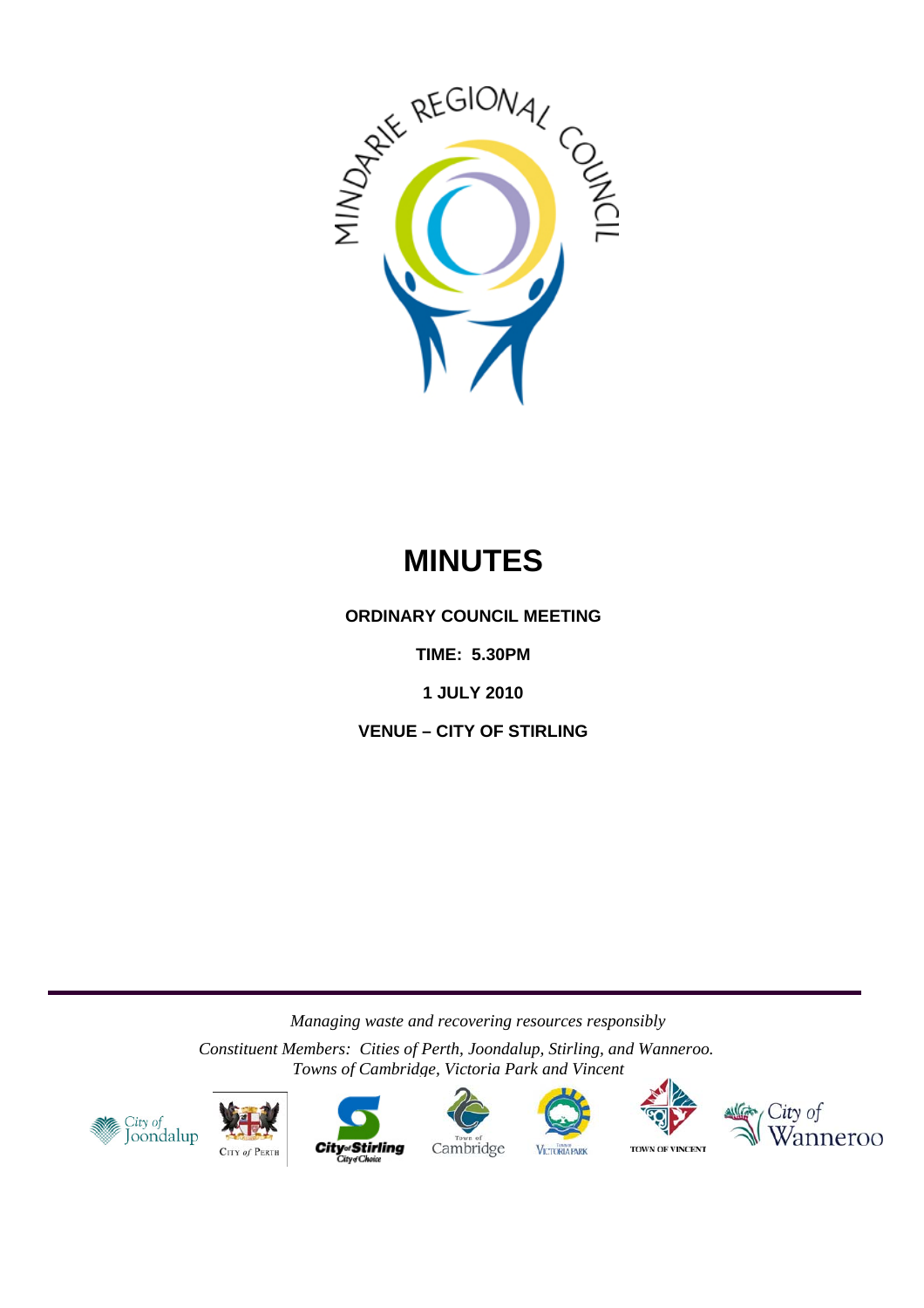

# **MINUTES**

**ORDINARY COUNCIL MEETING** 

**TIME: 5.30PM** 

**1 JULY 2010** 

**VENUE – CITY OF STIRLING** 

*Managing waste and recovering resources responsibly* 

*Constituent Members: Cities of Perth, Joondalup, Stirling, and Wanneroo. Towns of Cambridge, Victoria Park and Vincent*













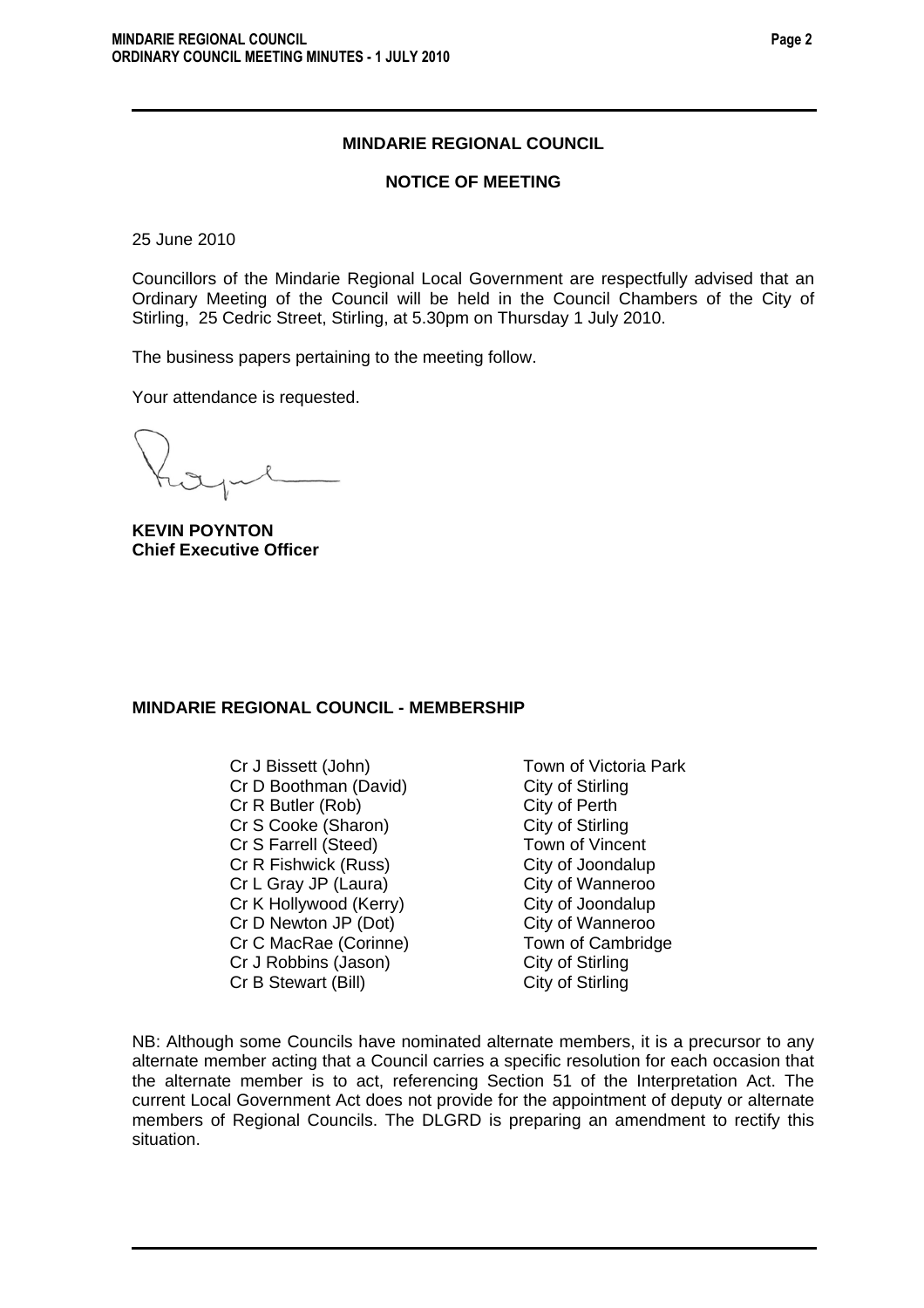# **MINDARIE REGIONAL COUNCIL**

#### **NOTICE OF MEETING**

25 June 2010

Councillors of the Mindarie Regional Local Government are respectfully advised that an Ordinary Meeting of the Council will be held in the Council Chambers of the City of Stirling, 25 Cedric Street, Stirling, at 5.30pm on Thursday 1 July 2010.

The business papers pertaining to the meeting follow.

Your attendance is requested.

**KEVIN POYNTON Chief Executive Officer** 

# **MINDARIE REGIONAL COUNCIL - MEMBERSHIP**

Cr J Bissett (John) Town of Victoria Park Cr D Boothman (David) City of Stirling Cr R Butler (Rob) City of Perth Cr S Cooke (Sharon) City of Stirling Cr S Farrell (Steed) Town of Vincent Cr R Fishwick (Russ) City of Joondalup Cr L Gray JP (Laura) City of Wanneroo Cr K Hollywood (Kerry) City of Joondalup Cr D Newton JP (Dot) City of Wanneroo Cr C MacRae (Corinne) Town of Cambridge Cr J Robbins (Jason) City of Stirling Cr B Stewart (Bill) City of Stirling

NB: Although some Councils have nominated alternate members, it is a precursor to any alternate member acting that a Council carries a specific resolution for each occasion that the alternate member is to act, referencing Section 51 of the Interpretation Act. The current Local Government Act does not provide for the appointment of deputy or alternate members of Regional Councils. The DLGRD is preparing an amendment to rectify this situation.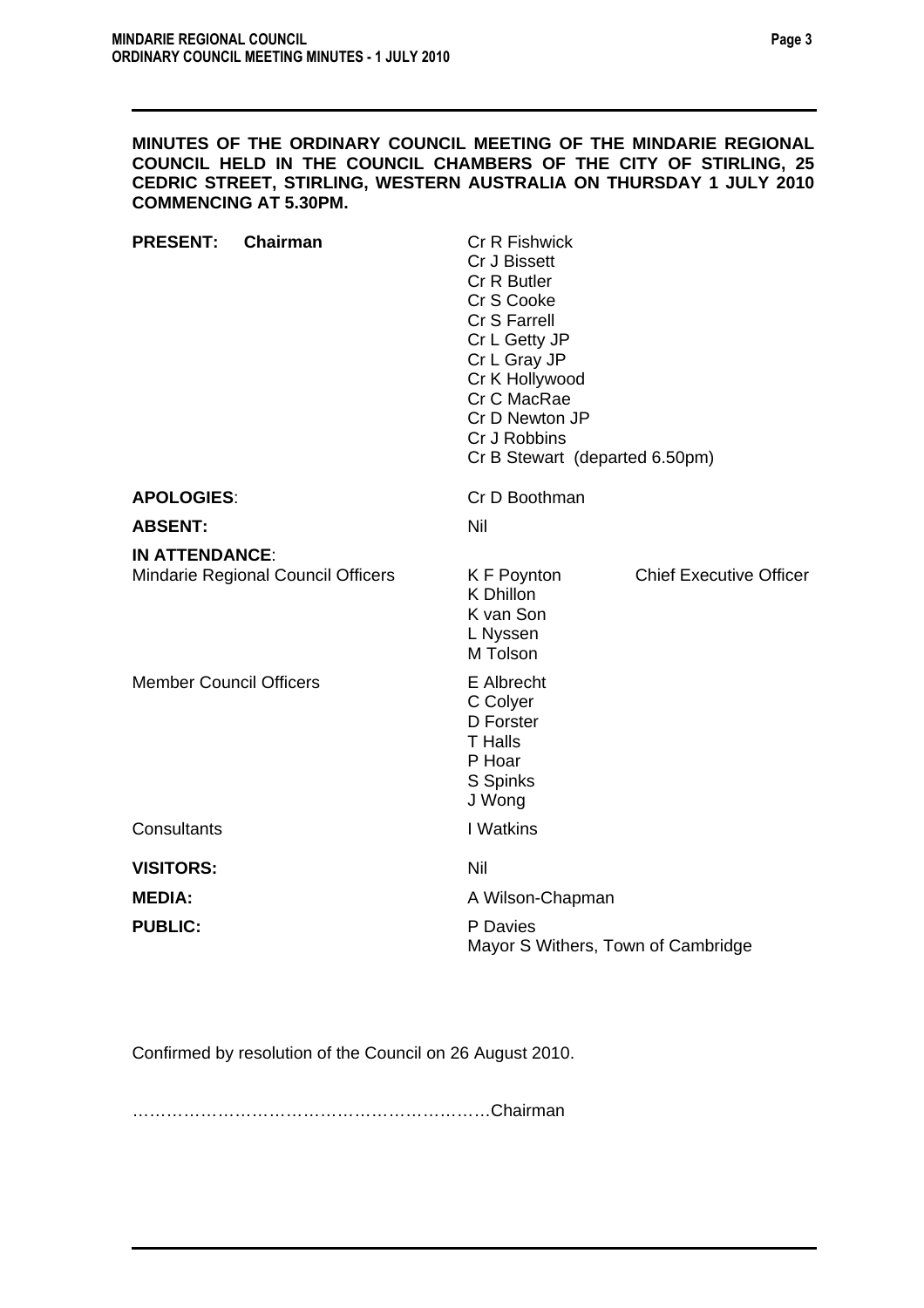#### **MINUTES OF THE ORDINARY COUNCIL MEETING OF THE MINDARIE REGIONAL COUNCIL HELD IN THE COUNCIL CHAMBERS OF THE CITY OF STIRLING, 25 CEDRIC STREET, STIRLING, WESTERN AUSTRALIA ON THURSDAY 1 JULY 2010 COMMENCING AT 5.30PM.**

| <b>PRESENT:</b>                                             | Chairman | <b>Cr R Fishwick</b><br>Cr J Bissett<br>Cr R Butler<br>Cr S Cooke<br>Cr S Farrell<br>Cr L Getty JP<br>Cr L Gray JP<br>Cr K Hollywood<br>Cr C MacRae<br>Cr D Newton JP<br>Cr J Robbins<br>Cr B Stewart (departed 6.50pm) |                                    |  |  |
|-------------------------------------------------------------|----------|-------------------------------------------------------------------------------------------------------------------------------------------------------------------------------------------------------------------------|------------------------------------|--|--|
| <b>APOLOGIES:</b>                                           |          | Cr D Boothman                                                                                                                                                                                                           |                                    |  |  |
| <b>ABSENT:</b>                                              |          | Nil                                                                                                                                                                                                                     |                                    |  |  |
| <b>IN ATTENDANCE:</b><br>Mindarie Regional Council Officers |          | K F Poynton<br>K Dhillon<br>K van Son<br>L Nyssen<br>M Tolson                                                                                                                                                           | <b>Chief Executive Officer</b>     |  |  |
| <b>Member Council Officers</b>                              |          | E Albrecht<br>C Colyer<br>D Forster<br><b>T</b> Halls<br>P Hoar<br>S Spinks<br>J Wong                                                                                                                                   |                                    |  |  |
| Consultants                                                 |          | I Watkins                                                                                                                                                                                                               |                                    |  |  |
| <b>VISITORS:</b>                                            |          | Nil                                                                                                                                                                                                                     |                                    |  |  |
| <b>MEDIA:</b>                                               |          |                                                                                                                                                                                                                         | A Wilson-Chapman                   |  |  |
| <b>PUBLIC:</b>                                              |          | P Davies                                                                                                                                                                                                                | Mayor S Withers, Town of Cambridge |  |  |

Confirmed by resolution of the Council on 26 August 2010.

………………………………………………………Chairman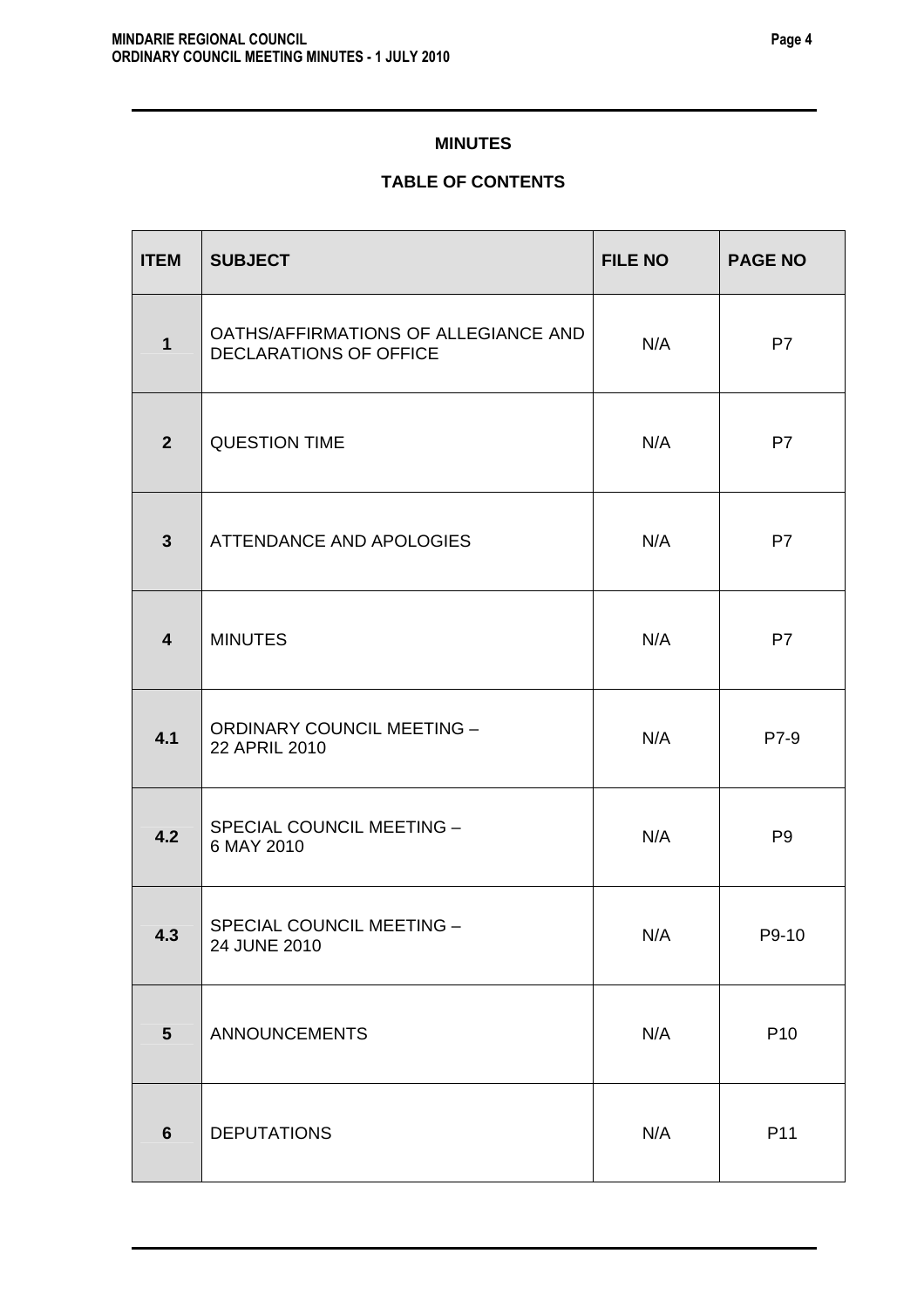# **MINUTES**

# **TABLE OF CONTENTS**

| <b>ITEM</b>             | <b>SUBJECT</b>                                                        | <b>FILE NO</b> | <b>PAGE NO</b>  |
|-------------------------|-----------------------------------------------------------------------|----------------|-----------------|
| $\mathbf{1}$            | OATHS/AFFIRMATIONS OF ALLEGIANCE AND<br><b>DECLARATIONS OF OFFICE</b> | N/A            | P7              |
| 2 <sup>2</sup>          | <b>QUESTION TIME</b>                                                  | N/A            | P7              |
| $\mathbf{3}$            | <b>ATTENDANCE AND APOLOGIES</b>                                       | N/A            | P7              |
| $\overline{\mathbf{4}}$ | <b>MINUTES</b>                                                        | N/A            | P7              |
| 4.1                     | <b>ORDINARY COUNCIL MEETING -</b><br>22 APRIL 2010                    | N/A            | P7-9            |
| 4.2                     | SPECIAL COUNCIL MEETING -<br>6 MAY 2010                               | N/A            | P <sub>9</sub>  |
| 4.3                     | SPECIAL COUNCIL MEETING -<br>24 JUNE 2010                             | N/A            | P9-10           |
| $5\phantom{1}$          | <b>ANNOUNCEMENTS</b>                                                  | N/A            | P <sub>10</sub> |
| $6\phantom{1}$          | <b>DEPUTATIONS</b>                                                    | N/A            | P11             |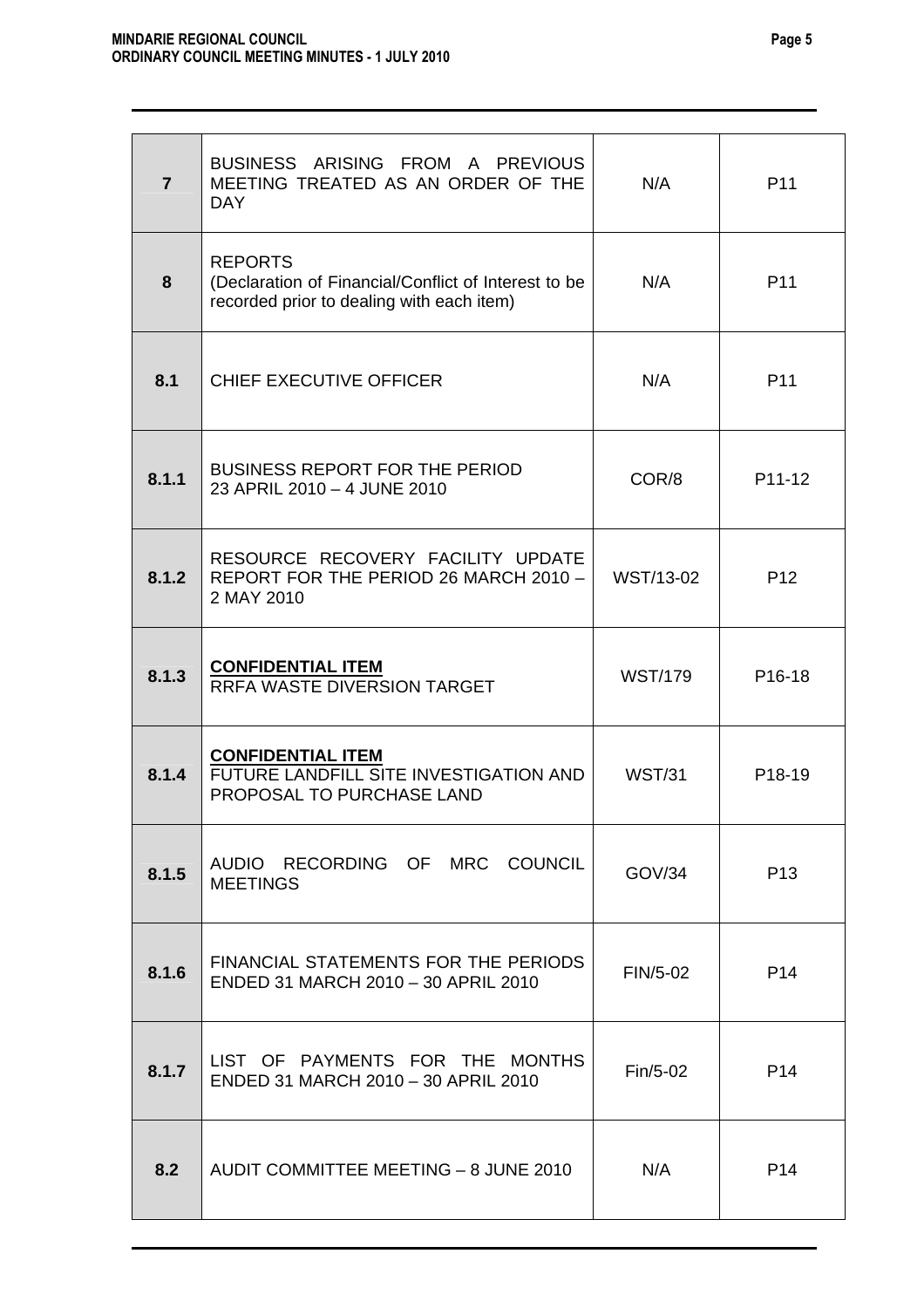| $\overline{7}$ | BUSINESS ARISING FROM A PREVIOUS<br>MEETING TREATED AS AN ORDER OF THE<br><b>DAY</b>                                | N/A            | P <sub>11</sub>     |
|----------------|---------------------------------------------------------------------------------------------------------------------|----------------|---------------------|
| 8              | <b>REPORTS</b><br>(Declaration of Financial/Conflict of Interest to be<br>recorded prior to dealing with each item) | N/A            | P <sub>11</sub>     |
| 8.1            | CHIEF EXECUTIVE OFFICER                                                                                             | N/A            | P <sub>11</sub>     |
| 8.1.1          | <b>BUSINESS REPORT FOR THE PERIOD</b><br>23 APRIL 2010 - 4 JUNE 2010                                                | COR/8          | P11-12              |
| 8.1.2          | RESOURCE RECOVERY FACILITY UPDATE<br>REPORT FOR THE PERIOD 26 MARCH 2010 -<br>2 MAY 2010                            | WST/13-02      | P <sub>12</sub>     |
| 8.1.3          | <b>CONFIDENTIAL ITEM</b><br><b>RRFA WASTE DIVERSION TARGET</b>                                                      | <b>WST/179</b> | P <sub>16</sub> -18 |
| 8.1.4          | <b>CONFIDENTIAL ITEM</b><br>FUTURE LANDFILL SITE INVESTIGATION AND<br>PROPOSAL TO PURCHASE LAND                     | <b>WST/31</b>  | P18-19              |
| 8.1.5          | AUDIO RECORDING OF MRC COUNCIL<br><b>MEETINGS</b>                                                                   | GOV/34         | P <sub>13</sub>     |
| 8.1.6          | FINANCIAL STATEMENTS FOR THE PERIODS<br>ENDED 31 MARCH 2010 - 30 APRIL 2010                                         | FIN/5-02       | P <sub>14</sub>     |
| 8.1.7          | LIST OF PAYMENTS FOR THE MONTHS<br>ENDED 31 MARCH 2010 - 30 APRIL 2010                                              | $Fin/5-02$     | P <sub>14</sub>     |
| 8.2            | AUDIT COMMITTEE MEETING - 8 JUNE 2010                                                                               | N/A            | P <sub>14</sub>     |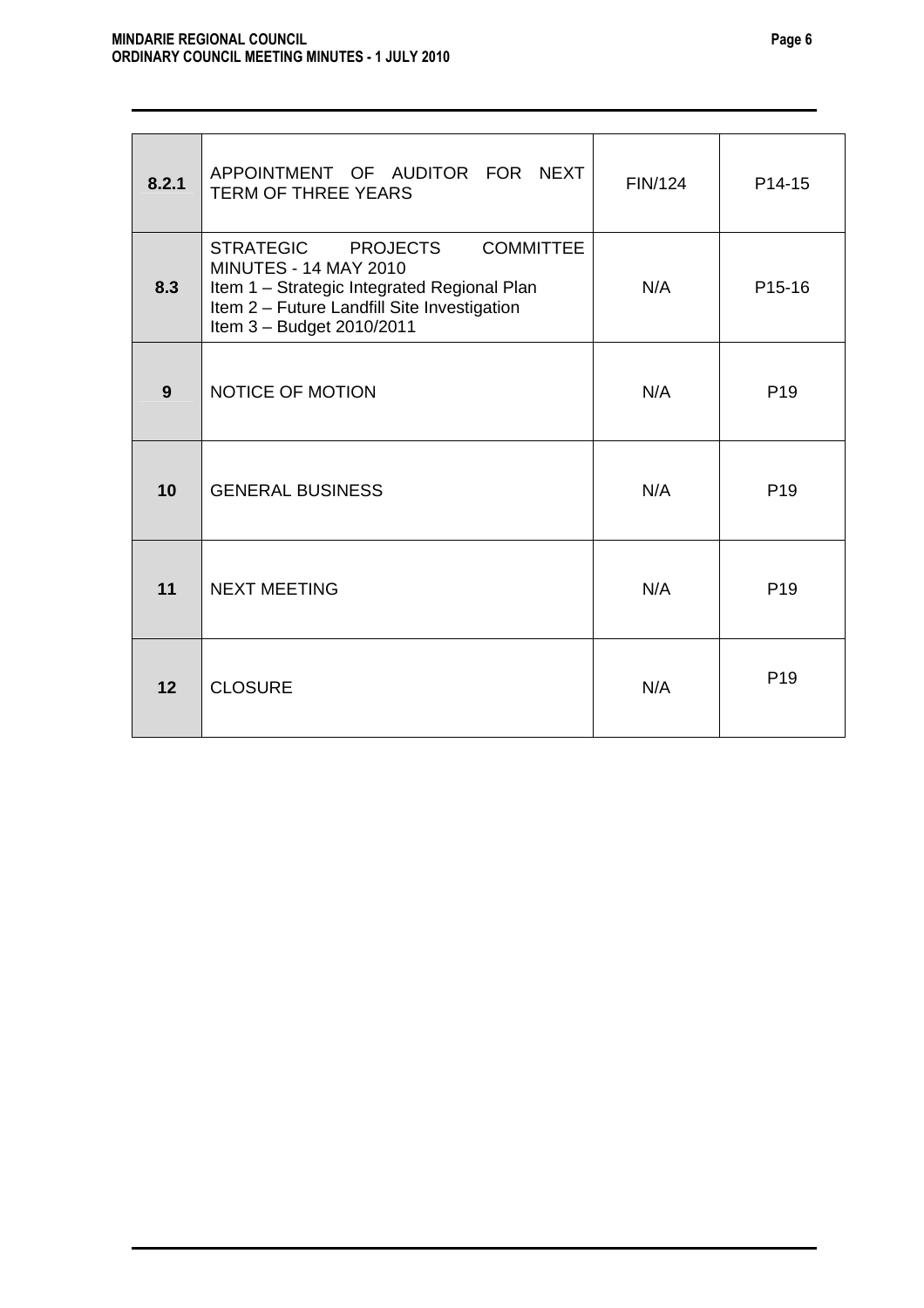| 8.2.1 | APPOINTMENT OF AUDITOR FOR NEXT<br><b>TERM OF THREE YEARS</b>                                                                                                                                     | FIN/124 | P14-15              |
|-------|---------------------------------------------------------------------------------------------------------------------------------------------------------------------------------------------------|---------|---------------------|
| 8.3   | STRATEGIC PROJECTS<br><b>COMMITTEE</b><br><b>MINUTES - 14 MAY 2010</b><br>Item 1 - Strategic Integrated Regional Plan<br>Item 2 - Future Landfill Site Investigation<br>Item 3 - Budget 2010/2011 | N/A     | P <sub>15</sub> -16 |
| 9     | <b>NOTICE OF MOTION</b>                                                                                                                                                                           | N/A     | P <sub>19</sub>     |
| 10    | <b>GENERAL BUSINESS</b>                                                                                                                                                                           | N/A     | P <sub>19</sub>     |
| 11    | <b>NEXT MEETING</b>                                                                                                                                                                               | N/A     | P <sub>19</sub>     |
| 12    | <b>CLOSURE</b>                                                                                                                                                                                    | N/A     | P <sub>19</sub>     |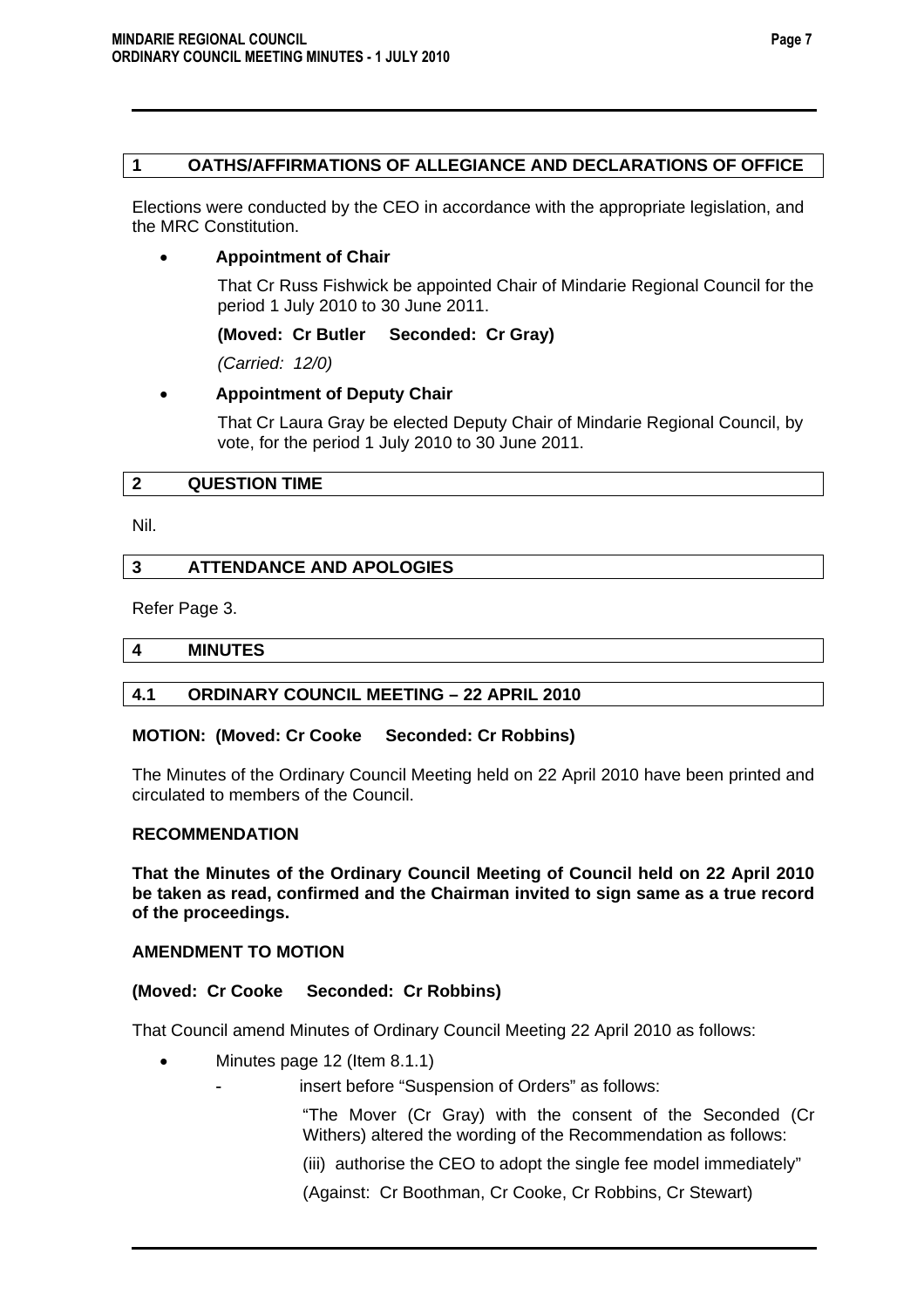# **1 OATHS/AFFIRMATIONS OF ALLEGIANCE AND DECLARATIONS OF OFFICE**

Elections were conducted by the CEO in accordance with the appropriate legislation, and the MRC Constitution.

# • **Appointment of Chair**

 That Cr Russ Fishwick be appointed Chair of Mindarie Regional Council for the period 1 July 2010 to 30 June 2011.

# **(Moved: Cr Butler Seconded: Cr Gray)**

*(Carried: 12/0)* 

# • **Appointment of Deputy Chair**

That Cr Laura Gray be elected Deputy Chair of Mindarie Regional Council, by vote, for the period 1 July 2010 to 30 June 2011.

# **2 QUESTION TIME**

Nil.

# **3 ATTENDANCE AND APOLOGIES**

Refer Page 3.

#### **4 MINUTES**

# **4.1 ORDINARY COUNCIL MEETING – 22 APRIL 2010**

# **MOTION: (Moved: Cr Cooke Seconded: Cr Robbins)**

The Minutes of the Ordinary Council Meeting held on 22 April 2010 have been printed and circulated to members of the Council.

#### **RECOMMENDATION**

**That the Minutes of the Ordinary Council Meeting of Council held on 22 April 2010 be taken as read, confirmed and the Chairman invited to sign same as a true record of the proceedings.** 

# **AMENDMENT TO MOTION**

# **(Moved: Cr Cooke Seconded: Cr Robbins)**

That Council amend Minutes of Ordinary Council Meeting 22 April 2010 as follows:

Minutes page 12 (Item 8.1.1)

insert before "Suspension of Orders" as follows:

"The Mover (Cr Gray) with the consent of the Seconded (Cr Withers) altered the wording of the Recommendation as follows:

(iii) authorise the CEO to adopt the single fee model immediately"

(Against: Cr Boothman, Cr Cooke, Cr Robbins, Cr Stewart)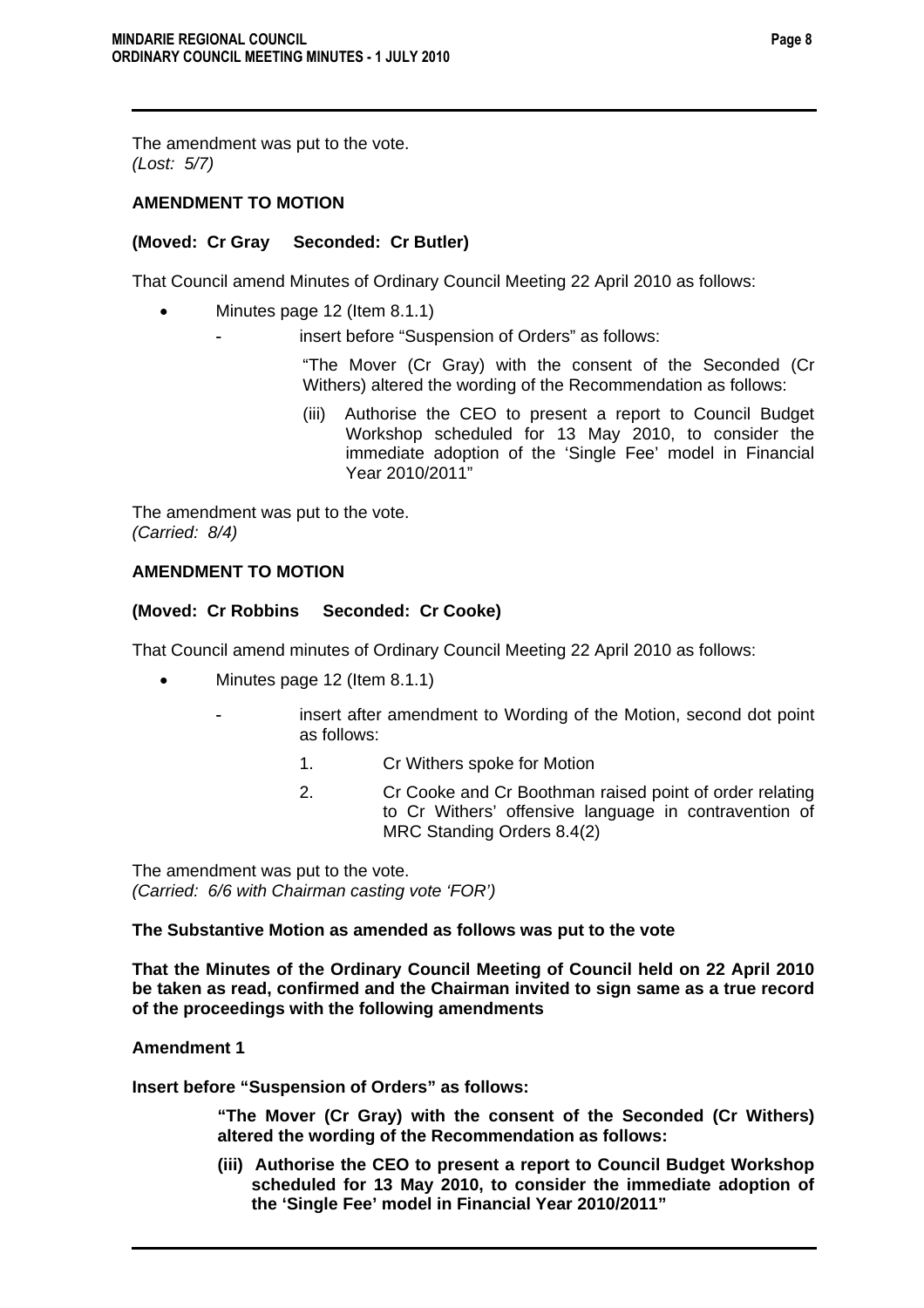The amendment was put to the vote. *(Lost: 5/7)* 

# **AMENDMENT TO MOTION**

# **(Moved: Cr Gray Seconded: Cr Butler)**

That Council amend Minutes of Ordinary Council Meeting 22 April 2010 as follows:

- Minutes page 12 (Item 8.1.1)
	- insert before "Suspension of Orders" as follows:

"The Mover (Cr Gray) with the consent of the Seconded (Cr Withers) altered the wording of the Recommendation as follows:

(iii) Authorise the CEO to present a report to Council Budget Workshop scheduled for 13 May 2010, to consider the immediate adoption of the 'Single Fee' model in Financial Year 2010/2011"

The amendment was put to the vote. *(Carried: 8/4)* 

# **AMENDMENT TO MOTION**

# **(Moved: Cr Robbins Seconded: Cr Cooke)**

That Council amend minutes of Ordinary Council Meeting 22 April 2010 as follows:

- Minutes page 12 (Item 8.1.1)
	- insert after amendment to Wording of the Motion, second dot point as follows:
		- 1. Cr Withers spoke for Motion
		- 2. Cr Cooke and Cr Boothman raised point of order relating to Cr Withers' offensive language in contravention of MRC Standing Orders 8.4(2)

The amendment was put to the vote. *(Carried: 6/6 with Chairman casting vote 'FOR')* 

# **The Substantive Motion as amended as follows was put to the vote**

**That the Minutes of the Ordinary Council Meeting of Council held on 22 April 2010 be taken as read, confirmed and the Chairman invited to sign same as a true record of the proceedings with the following amendments** 

#### **Amendment 1**

**Insert before "Suspension of Orders" as follows:** 

**"The Mover (Cr Gray) with the consent of the Seconded (Cr Withers) altered the wording of the Recommendation as follows:** 

**(iii) Authorise the CEO to present a report to Council Budget Workshop scheduled for 13 May 2010, to consider the immediate adoption of the 'Single Fee' model in Financial Year 2010/2011"**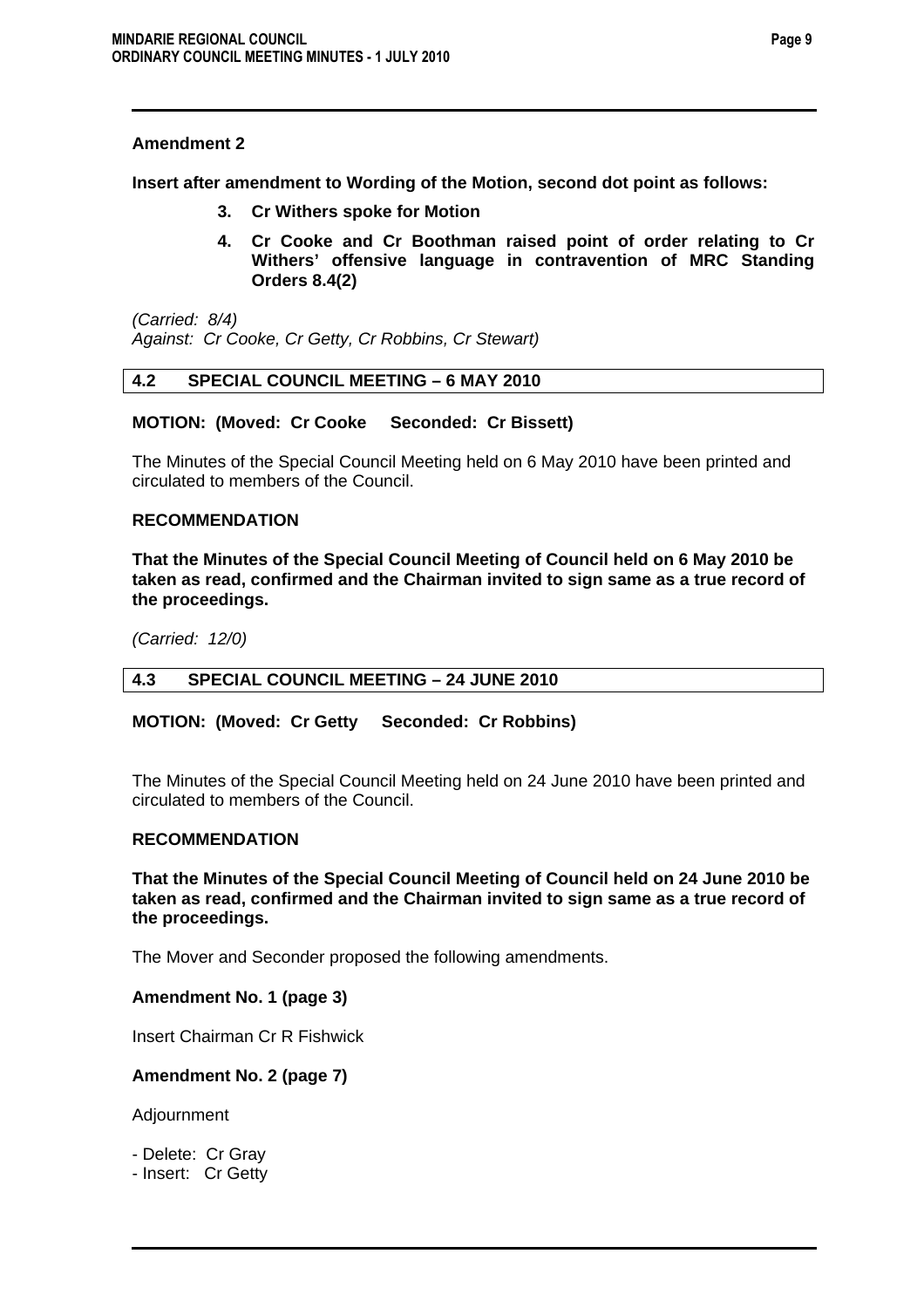# **Amendment 2**

**Insert after amendment to Wording of the Motion, second dot point as follows:** 

- **3. Cr Withers spoke for Motion**
- **4. Cr Cooke and Cr Boothman raised point of order relating to Cr Withers' offensive language in contravention of MRC Standing Orders 8.4(2)**

*(Carried: 8/4) Against: Cr Cooke, Cr Getty, Cr Robbins, Cr Stewart)* 

# **4.2 SPECIAL COUNCIL MEETING – 6 MAY 2010**

# **MOTION: (Moved: Cr Cooke Seconded: Cr Bissett)**

The Minutes of the Special Council Meeting held on 6 May 2010 have been printed and circulated to members of the Council.

# **RECOMMENDATION**

**That the Minutes of the Special Council Meeting of Council held on 6 May 2010 be taken as read, confirmed and the Chairman invited to sign same as a true record of the proceedings.** 

*(Carried: 12/0)* 

# **4.3 SPECIAL COUNCIL MEETING – 24 JUNE 2010**

# **MOTION: (Moved: Cr Getty Seconded: Cr Robbins)**

The Minutes of the Special Council Meeting held on 24 June 2010 have been printed and circulated to members of the Council.

#### **RECOMMENDATION**

**That the Minutes of the Special Council Meeting of Council held on 24 June 2010 be taken as read, confirmed and the Chairman invited to sign same as a true record of the proceedings.** 

The Mover and Seconder proposed the following amendments.

**Amendment No. 1 (page 3)** 

Insert Chairman Cr R Fishwick

#### **Amendment No. 2 (page 7)**

Adjournment

- Delete: Cr Gray

- Insert: Cr Getty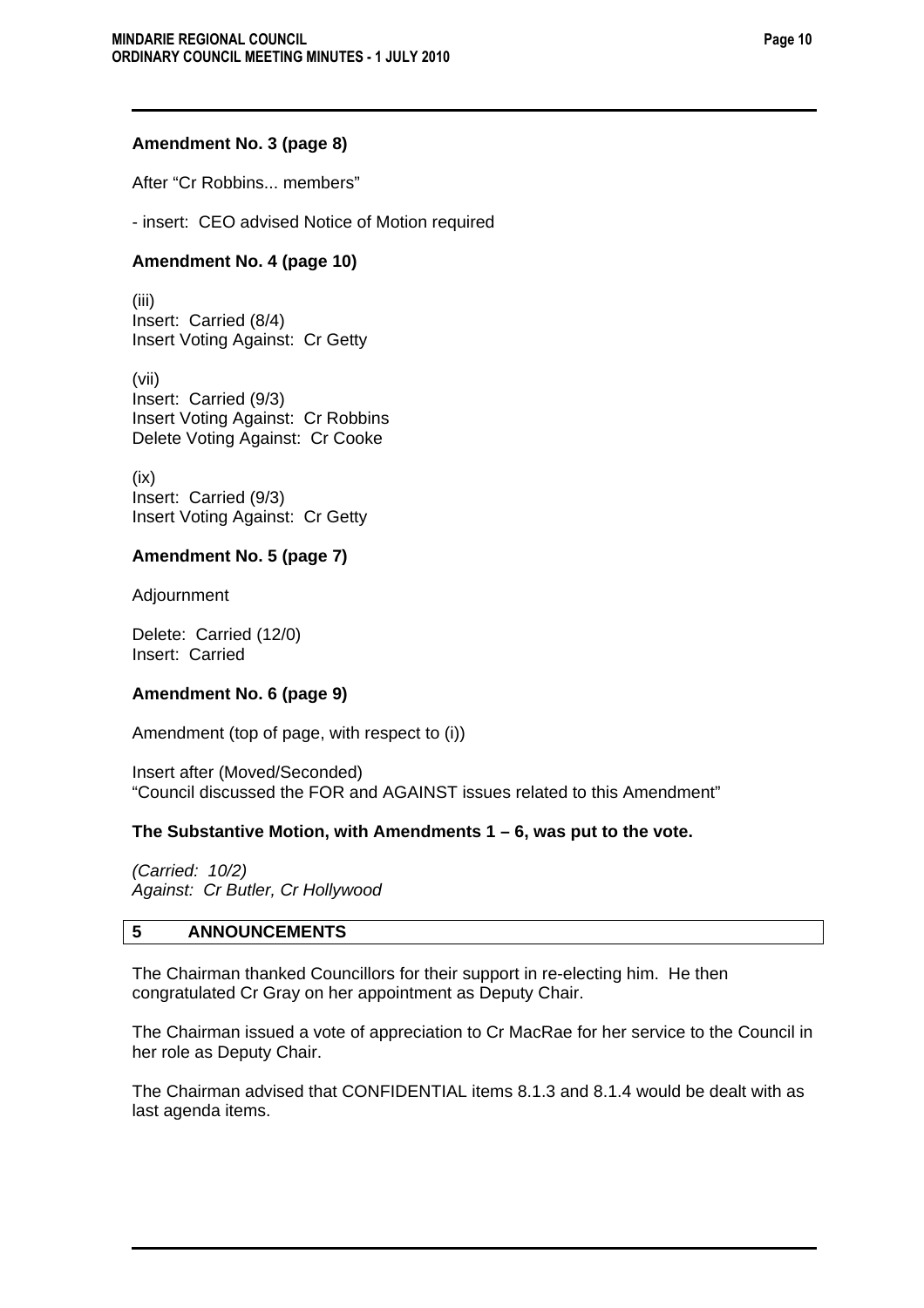# **Amendment No. 3 (page 8)**

After "Cr Robbins... members"

- insert: CEO advised Notice of Motion required

# **Amendment No. 4 (page 10)**

(iii) Insert: Carried (8/4) Insert Voting Against: Cr Getty

(vii) Insert: Carried (9/3) Insert Voting Against: Cr Robbins Delete Voting Against: Cr Cooke

(ix) Insert: Carried (9/3) Insert Voting Against: Cr Getty

# **Amendment No. 5 (page 7)**

Adjournment

Delete: Carried (12/0) Insert: Carried

# **Amendment No. 6 (page 9)**

Amendment (top of page, with respect to (i))

Insert after (Moved/Seconded) "Council discussed the FOR and AGAINST issues related to this Amendment"

# **The Substantive Motion, with Amendments 1 – 6, was put to the vote.**

*(Carried: 10/2) Against: Cr Butler, Cr Hollywood* 

# **5 ANNOUNCEMENTS**

The Chairman thanked Councillors for their support in re-electing him. He then congratulated Cr Gray on her appointment as Deputy Chair.

The Chairman issued a vote of appreciation to Cr MacRae for her service to the Council in her role as Deputy Chair.

The Chairman advised that CONFIDENTIAL items 8.1.3 and 8.1.4 would be dealt with as last agenda items.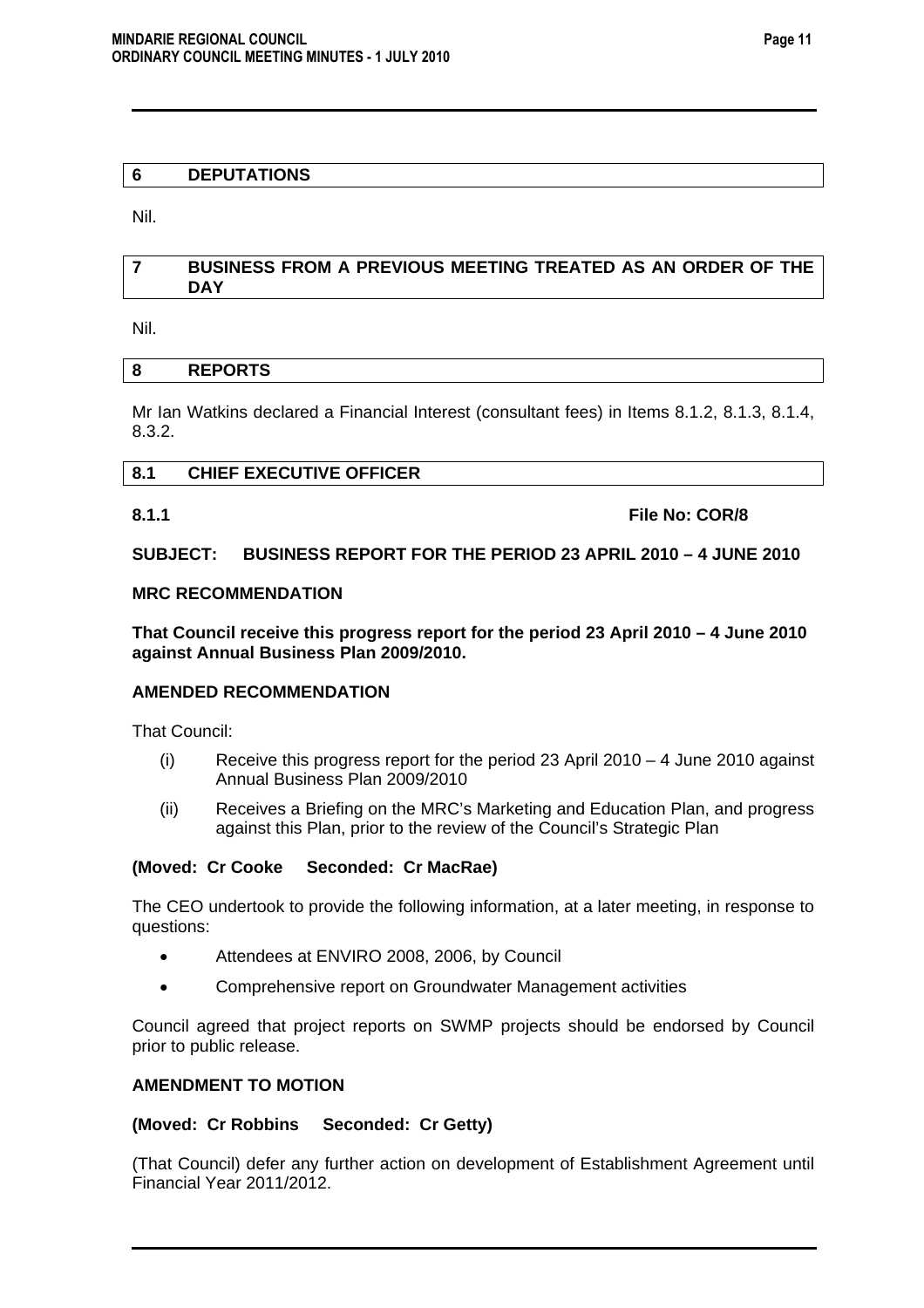# **6 DEPUTATIONS**

Nil.

# **7 BUSINESS FROM A PREVIOUS MEETING TREATED AS AN ORDER OF THE DAY**

Nil.

# **8 REPORTS**

Mr Ian Watkins declared a Financial Interest (consultant fees) in Items 8.1.2, 8.1.3, 8.1.4, 8.3.2.

# **8.1 CHIEF EXECUTIVE OFFICER**

**8.1.1 File No: COR/8** 

# **SUBJECT: BUSINESS REPORT FOR THE PERIOD 23 APRIL 2010 – 4 JUNE 2010**

# **MRC RECOMMENDATION**

**That Council receive this progress report for the period 23 April 2010 – 4 June 2010 against Annual Business Plan 2009/2010.** 

# **AMENDED RECOMMENDATION**

That Council:

- $(i)$  Receive this progress report for the period 23 April 2010 4 June 2010 against Annual Business Plan 2009/2010
- (ii) Receives a Briefing on the MRC's Marketing and Education Plan, and progress against this Plan, prior to the review of the Council's Strategic Plan

# **(Moved: Cr Cooke Seconded: Cr MacRae)**

The CEO undertook to provide the following information, at a later meeting, in response to questions:

- Attendees at ENVIRO 2008, 2006, by Council
- Comprehensive report on Groundwater Management activities

Council agreed that project reports on SWMP projects should be endorsed by Council prior to public release.

# **AMENDMENT TO MOTION**

# **(Moved: Cr Robbins Seconded: Cr Getty)**

(That Council) defer any further action on development of Establishment Agreement until Financial Year 2011/2012.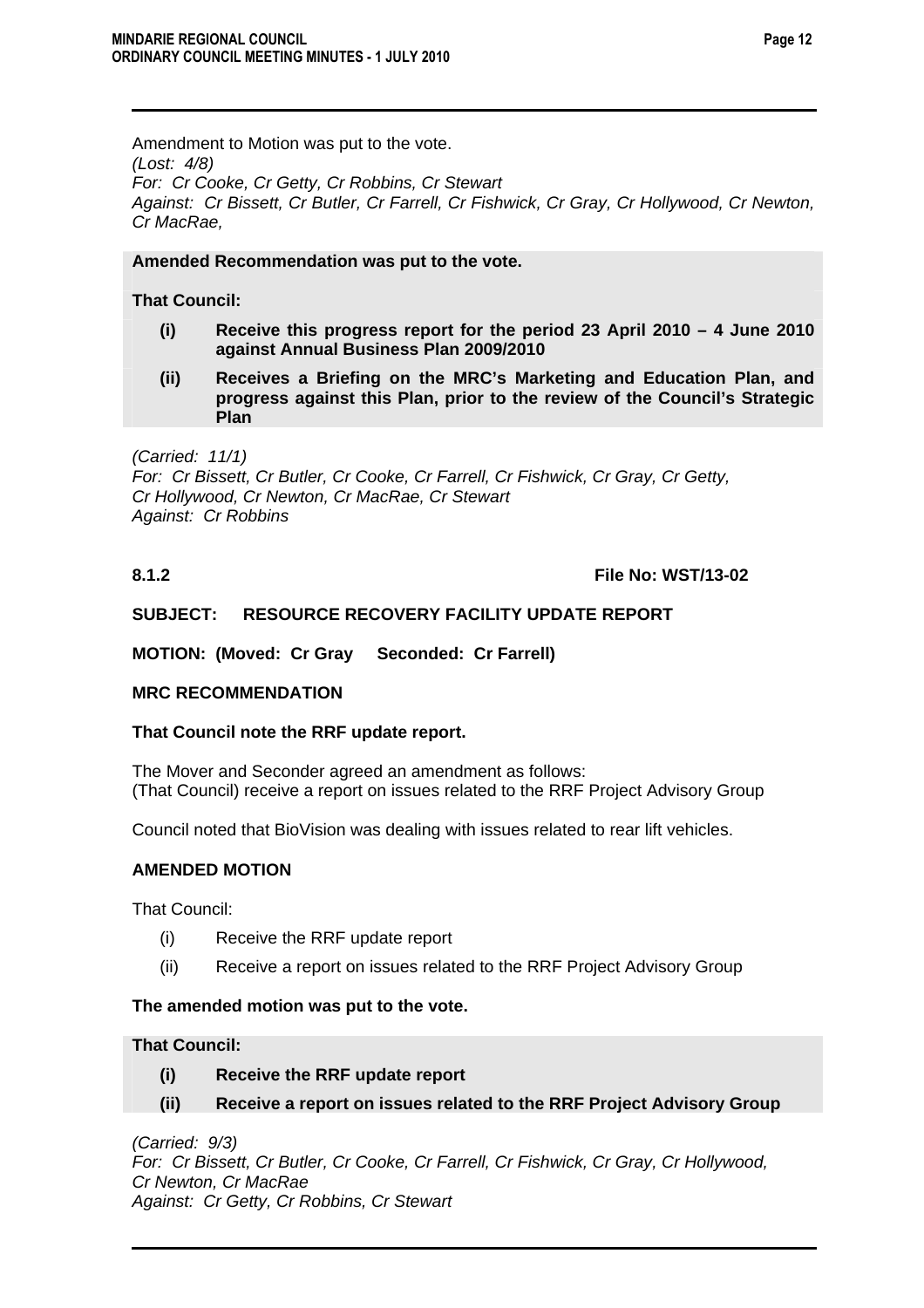Amendment to Motion was put to the vote. *(Lost: 4/8) For: Cr Cooke, Cr Getty, Cr Robbins, Cr Stewart Against: Cr Bissett, Cr Butler, Cr Farrell, Cr Fishwick, Cr Gray, Cr Hollywood, Cr Newton, Cr MacRae,* 

# **Amended Recommendation was put to the vote.**

# **That Council:**

- **(i) Receive this progress report for the period 23 April 2010 4 June 2010 against Annual Business Plan 2009/2010**
- **(ii) Receives a Briefing on the MRC's Marketing and Education Plan, and progress against this Plan, prior to the review of the Council's Strategic Plan**

*(Carried: 11/1) For: Cr Bissett, Cr Butler, Cr Cooke, Cr Farrell, Cr Fishwick, Cr Gray, Cr Getty, Cr Hollywood, Cr Newton, Cr MacRae, Cr Stewart Against: Cr Robbins* 

# **8.1.2 File No: WST/13-02**

# **SUBJECT: RESOURCE RECOVERY FACILITY UPDATE REPORT**

**MOTION: (Moved: Cr Gray Seconded: Cr Farrell)** 

# **MRC RECOMMENDATION**

# **That Council note the RRF update report.**

The Mover and Seconder agreed an amendment as follows: (That Council) receive a report on issues related to the RRF Project Advisory Group

Council noted that BioVision was dealing with issues related to rear lift vehicles.

# **AMENDED MOTION**

That Council:

- (i) Receive the RRF update report
- (ii) Receive a report on issues related to the RRF Project Advisory Group

# **The amended motion was put to the vote.**

# **That Council:**

- **(i) Receive the RRF update report**
- **(ii) Receive a report on issues related to the RRF Project Advisory Group**

*(Carried: 9/3) For: Cr Bissett, Cr Butler, Cr Cooke, Cr Farrell, Cr Fishwick, Cr Gray, Cr Hollywood, Cr Newton, Cr MacRae Against: Cr Getty, Cr Robbins, Cr Stewart*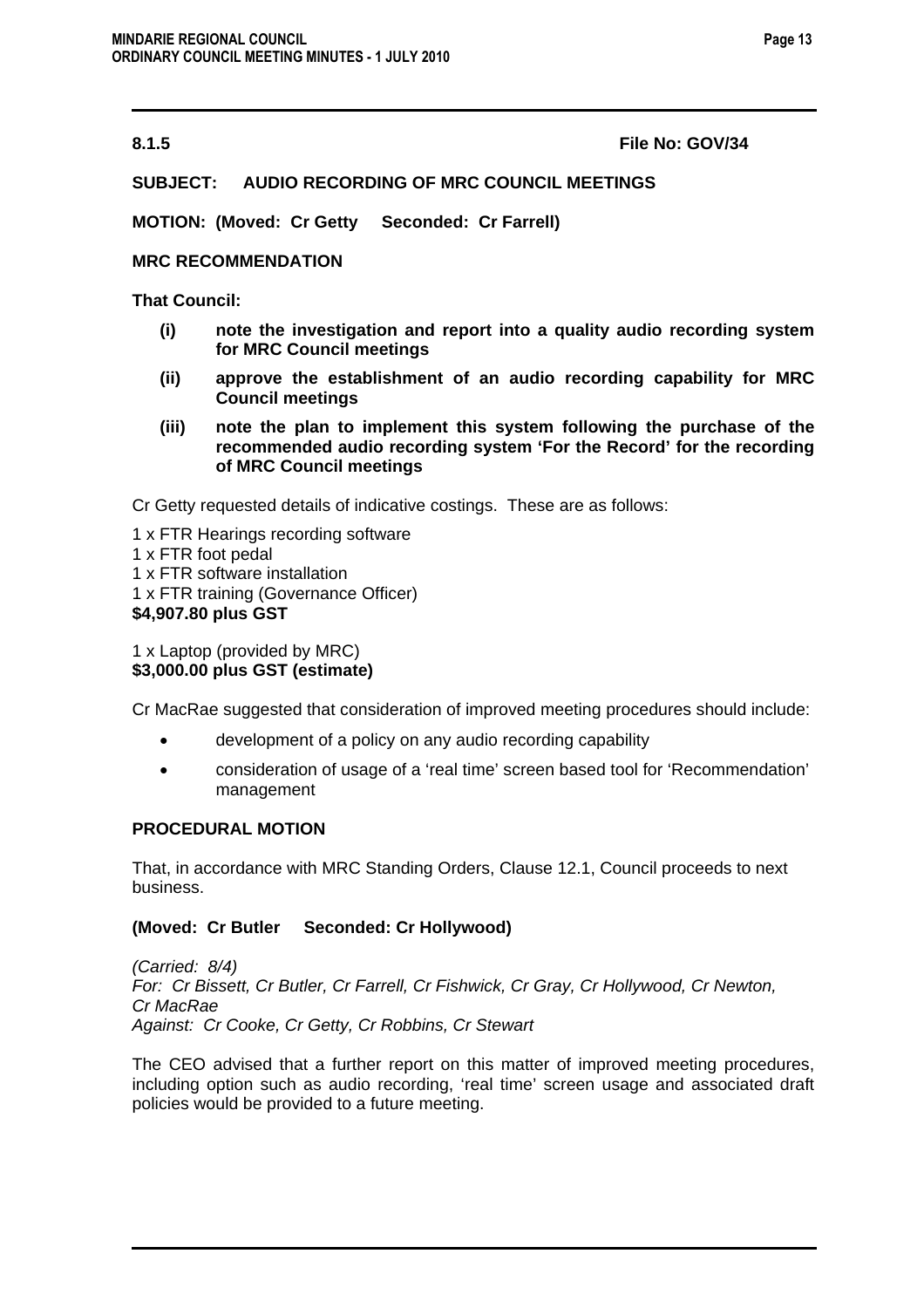**8.1.5 File No: GOV/34** 

# **SUBJECT: AUDIO RECORDING OF MRC COUNCIL MEETINGS**

**MOTION: (Moved: Cr Getty Seconded: Cr Farrell)** 

# **MRC RECOMMENDATION**

**That Council:** 

- **(i) note the investigation and report into a quality audio recording system for MRC Council meetings**
- **(ii) approve the establishment of an audio recording capability for MRC Council meetings**
- **(iii) note the plan to implement this system following the purchase of the recommended audio recording system 'For the Record' for the recording of MRC Council meetings**

Cr Getty requested details of indicative costings. These are as follows:

- 1 x FTR Hearings recording software
- 1 x FTR foot pedal
- 1 x FTR software installation
- 1 x FTR training (Governance Officer)

# **\$4,907.80 plus GST**

1 x Laptop (provided by MRC)

# **\$3,000.00 plus GST (estimate)**

Cr MacRae suggested that consideration of improved meeting procedures should include:

- development of a policy on any audio recording capability
- consideration of usage of a 'real time' screen based tool for 'Recommendation' management

# **PROCEDURAL MOTION**

That, in accordance with MRC Standing Orders, Clause 12.1, Council proceeds to next business.

# **(Moved: Cr Butler Seconded: Cr Hollywood)**

*(Carried: 8/4) For: Cr Bissett, Cr Butler, Cr Farrell, Cr Fishwick, Cr Gray, Cr Hollywood, Cr Newton, Cr MacRae Against: Cr Cooke, Cr Getty, Cr Robbins, Cr Stewart* 

The CEO advised that a further report on this matter of improved meeting procedures, including option such as audio recording, 'real time' screen usage and associated draft policies would be provided to a future meeting.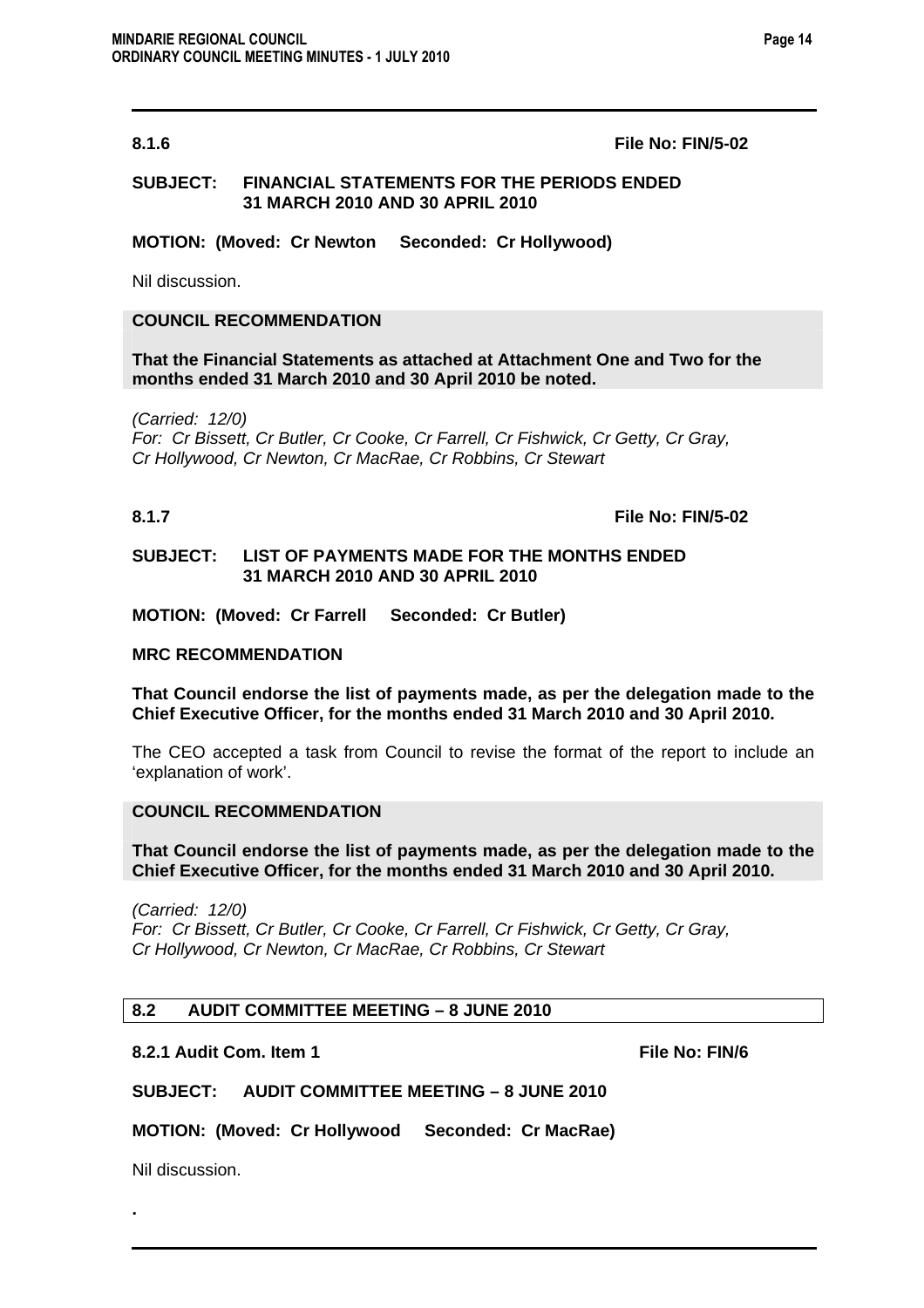#### **8.1.6 File No: FIN/5-02**

# **SUBJECT: FINANCIAL STATEMENTS FOR THE PERIODS ENDED 31 MARCH 2010 AND 30 APRIL 2010**

**MOTION: (Moved: Cr Newton Seconded: Cr Hollywood)** 

Nil discussion.

# **COUNCIL RECOMMENDATION**

**That the Financial Statements as attached at Attachment One and Two for the months ended 31 March 2010 and 30 April 2010 be noted.** 

*(Carried: 12/0) For: Cr Bissett, Cr Butler, Cr Cooke, Cr Farrell, Cr Fishwick, Cr Getty, Cr Gray, Cr Hollywood, Cr Newton, Cr MacRae, Cr Robbins, Cr Stewart* 

#### **8.1.7 File No: FIN/5-02**

#### **SUBJECT: LIST OF PAYMENTS MADE FOR THE MONTHS ENDED 31 MARCH 2010 AND 30 APRIL 2010**

**MOTION: (Moved: Cr Farrell Seconded: Cr Butler)** 

#### **MRC RECOMMENDATION**

**That Council endorse the list of payments made, as per the delegation made to the Chief Executive Officer, for the months ended 31 March 2010 and 30 April 2010.** 

The CEO accepted a task from Council to revise the format of the report to include an 'explanation of work'.

#### **COUNCIL RECOMMENDATION**

**That Council endorse the list of payments made, as per the delegation made to the Chief Executive Officer, for the months ended 31 March 2010 and 30 April 2010.** 

*(Carried: 12/0)* 

*For: Cr Bissett, Cr Butler, Cr Cooke, Cr Farrell, Cr Fishwick, Cr Getty, Cr Gray, Cr Hollywood, Cr Newton, Cr MacRae, Cr Robbins, Cr Stewart* 

#### **8.2 AUDIT COMMITTEE MEETING – 8 JUNE 2010**

#### **8.2.1 Audit Com. Item 1 File No: FIN/6**  File No: FIN/6

# **SUBJECT: AUDIT COMMITTEE MEETING – 8 JUNE 2010**

**MOTION: (Moved: Cr Hollywood Seconded: Cr MacRae)** 

Nil discussion.

**.**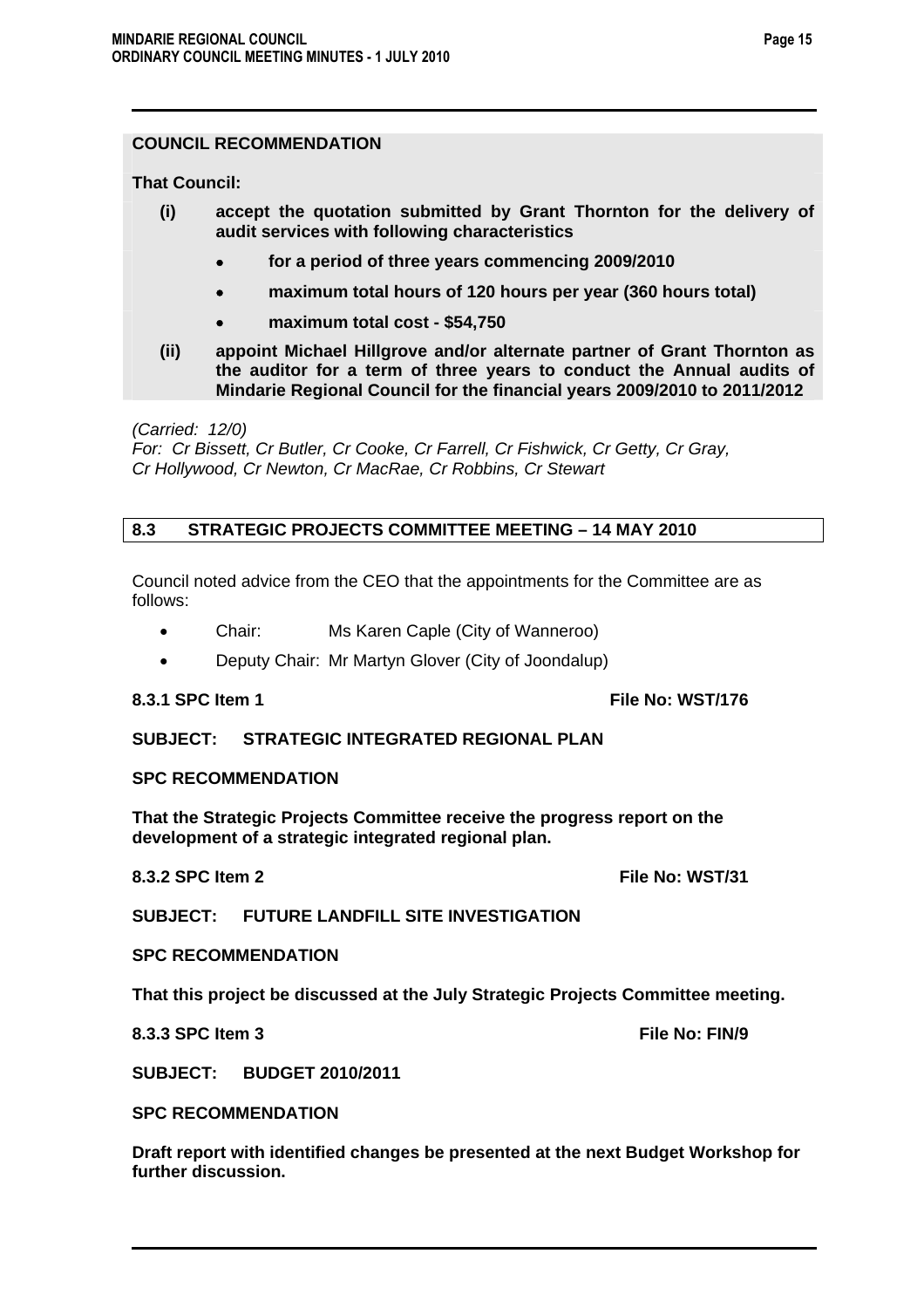# **COUNCIL RECOMMENDATION**

**That Council:** 

- **(i) accept the quotation submitted by Grant Thornton for the delivery of audit services with following characteristics** 
	- • **for a period of three years commencing 2009/2010**
	- • **maximum total hours of 120 hours per year (360 hours total)**
	- • **maximum total cost \$54,750**
- **(ii) appoint Michael Hillgrove and/or alternate partner of Grant Thornton as the auditor for a term of three years to conduct the Annual audits of Mindarie Regional Council for the financial years 2009/2010 to 2011/2012**

*(Carried: 12/0)* 

*For: Cr Bissett, Cr Butler, Cr Cooke, Cr Farrell, Cr Fishwick, Cr Getty, Cr Gray, Cr Hollywood, Cr Newton, Cr MacRae, Cr Robbins, Cr Stewart* 

# **8.3 STRATEGIC PROJECTS COMMITTEE MEETING – 14 MAY 2010**

Council noted advice from the CEO that the appointments for the Committee are as follows:

- Chair: Ms Karen Caple (City of Wanneroo)
- Deputy Chair: Mr Martyn Glover (City of Joondalup)

**8.3.1 SPC Item 1 File No: WST/176** 

# **SUBJECT: STRATEGIC INTEGRATED REGIONAL PLAN**

# **SPC RECOMMENDATION**

**That the Strategic Projects Committee receive the progress report on the development of a strategic integrated regional plan.** 

**8.3.2 SPC Item 2 File No: WST/31** 

**SUBJECT: FUTURE LANDFILL SITE INVESTIGATION** 

**SPC RECOMMENDATION** 

**That this project be discussed at the July Strategic Projects Committee meeting.** 

**8.3.3 SPC Item 3** File No: FIN/9

**SUBJECT: BUDGET 2010/2011** 

**SPC RECOMMENDATION** 

**Draft report with identified changes be presented at the next Budget Workshop for further discussion.**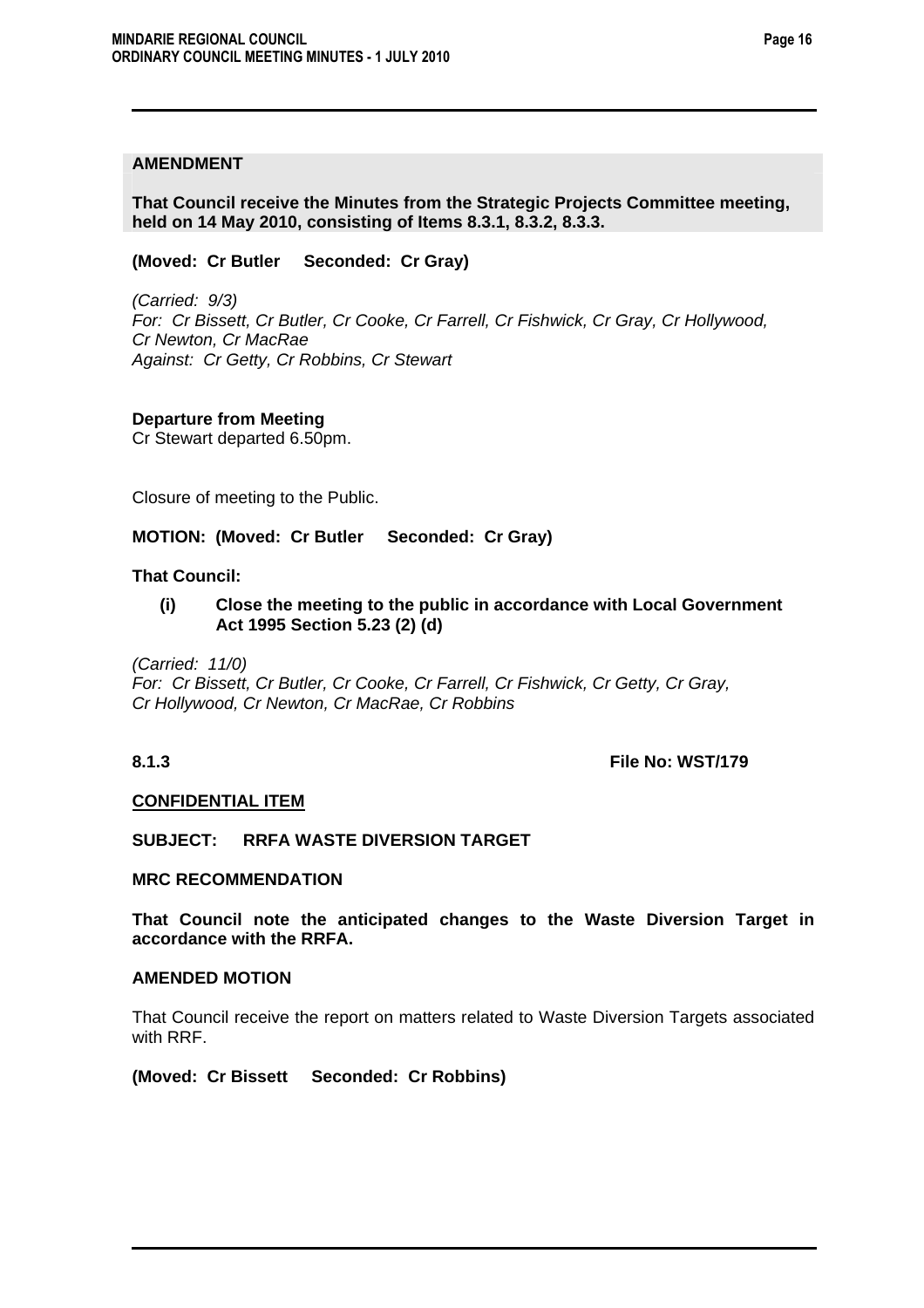# **AMENDMENT**

**That Council receive the Minutes from the Strategic Projects Committee meeting, held on 14 May 2010, consisting of Items 8.3.1, 8.3.2, 8.3.3.** 

**(Moved: Cr Butler Seconded: Cr Gray)** 

*(Carried: 9/3) For: Cr Bissett, Cr Butler, Cr Cooke, Cr Farrell, Cr Fishwick, Cr Gray, Cr Hollywood, Cr Newton, Cr MacRae Against: Cr Getty, Cr Robbins, Cr Stewart* 

# **Departure from Meeting**

Cr Stewart departed 6.50pm.

Closure of meeting to the Public.

# **MOTION: (Moved: Cr Butler Seconded: Cr Gray)**

# **That Council:**

**(i) Close the meeting to the public in accordance with Local Government Act 1995 Section 5.23 (2) (d)** 

*(Carried: 11/0)* 

*For: Cr Bissett, Cr Butler, Cr Cooke, Cr Farrell, Cr Fishwick, Cr Getty, Cr Gray, Cr Hollywood, Cr Newton, Cr MacRae, Cr Robbins* 

**8.1.3 File No: WST/179** 

#### **CONFIDENTIAL ITEM**

**SUBJECT: RRFA WASTE DIVERSION TARGET** 

#### **MRC RECOMMENDATION**

**That Council note the anticipated changes to the Waste Diversion Target in accordance with the RRFA.** 

# **AMENDED MOTION**

That Council receive the report on matters related to Waste Diversion Targets associated with RRF.

**(Moved: Cr Bissett Seconded: Cr Robbins)**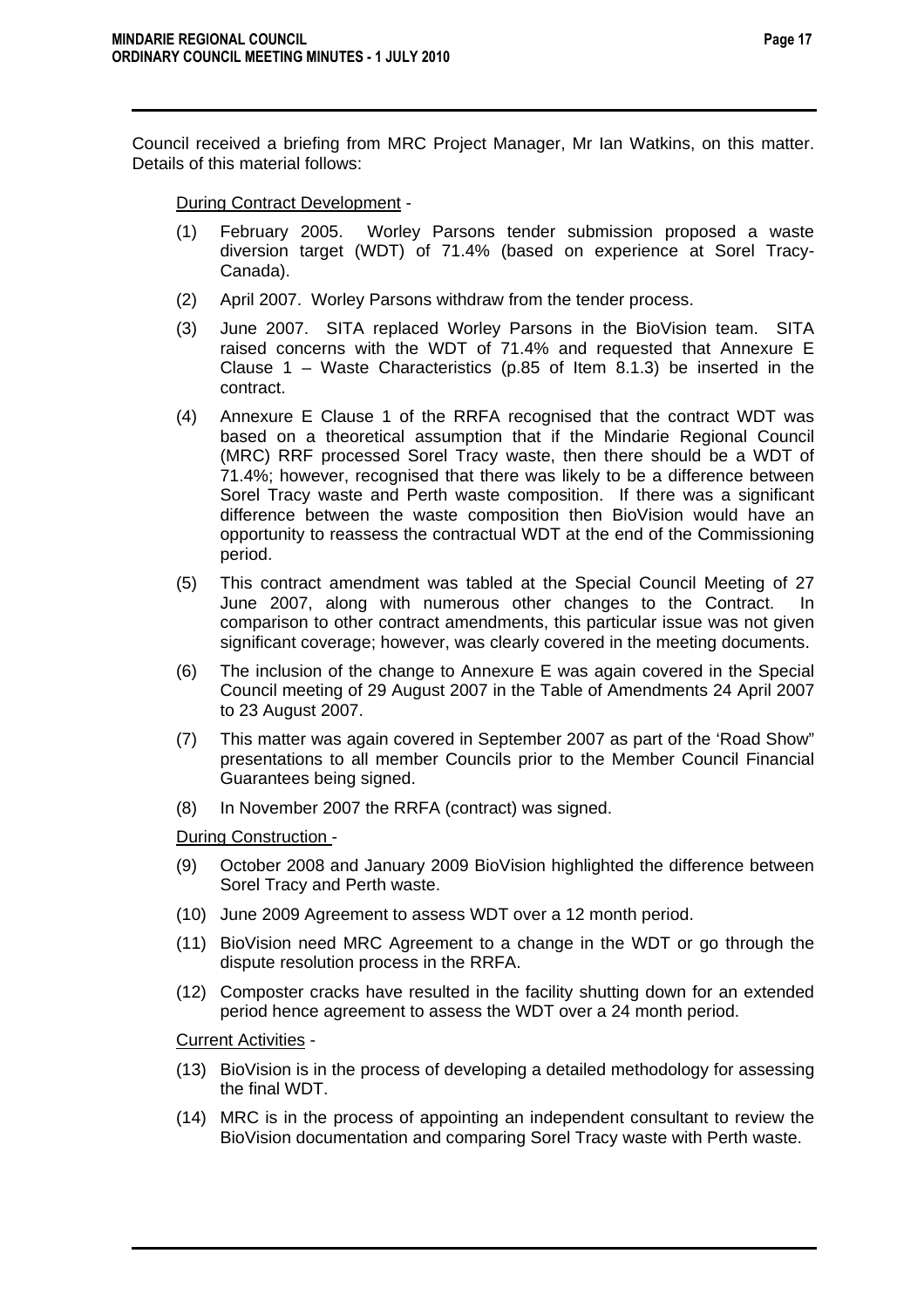Council received a briefing from MRC Project Manager, Mr Ian Watkins, on this matter. Details of this material follows:

During Contract Development -

- (1) February 2005. Worley Parsons tender submission proposed a waste diversion target (WDT) of 71.4% (based on experience at Sorel Tracy-Canada).
- (2) April 2007. Worley Parsons withdraw from the tender process.
- (3) June 2007. SITA replaced Worley Parsons in the BioVision team. SITA raised concerns with the WDT of 71.4% and requested that Annexure E Clause 1 – Waste Characteristics (p.85 of Item 8.1.3) be inserted in the contract.
- (4) Annexure E Clause 1 of the RRFA recognised that the contract WDT was based on a theoretical assumption that if the Mindarie Regional Council (MRC) RRF processed Sorel Tracy waste, then there should be a WDT of 71.4%; however, recognised that there was likely to be a difference between Sorel Tracy waste and Perth waste composition. If there was a significant difference between the waste composition then BioVision would have an opportunity to reassess the contractual WDT at the end of the Commissioning period.
- (5) This contract amendment was tabled at the Special Council Meeting of 27 June 2007, along with numerous other changes to the Contract. In comparison to other contract amendments, this particular issue was not given significant coverage; however, was clearly covered in the meeting documents.
- (6) The inclusion of the change to Annexure E was again covered in the Special Council meeting of 29 August 2007 in the Table of Amendments 24 April 2007 to 23 August 2007.
- (7) This matter was again covered in September 2007 as part of the 'Road Show" presentations to all member Councils prior to the Member Council Financial Guarantees being signed.
- (8) In November 2007 the RRFA (contract) was signed.

During Construction -

- (9) October 2008 and January 2009 BioVision highlighted the difference between Sorel Tracy and Perth waste.
- (10) June 2009 Agreement to assess WDT over a 12 month period.
- (11) BioVision need MRC Agreement to a change in the WDT or go through the dispute resolution process in the RRFA.
- (12) Composter cracks have resulted in the facility shutting down for an extended period hence agreement to assess the WDT over a 24 month period.

Current Activities -

- (13) BioVision is in the process of developing a detailed methodology for assessing the final WDT.
- (14) MRC is in the process of appointing an independent consultant to review the BioVision documentation and comparing Sorel Tracy waste with Perth waste.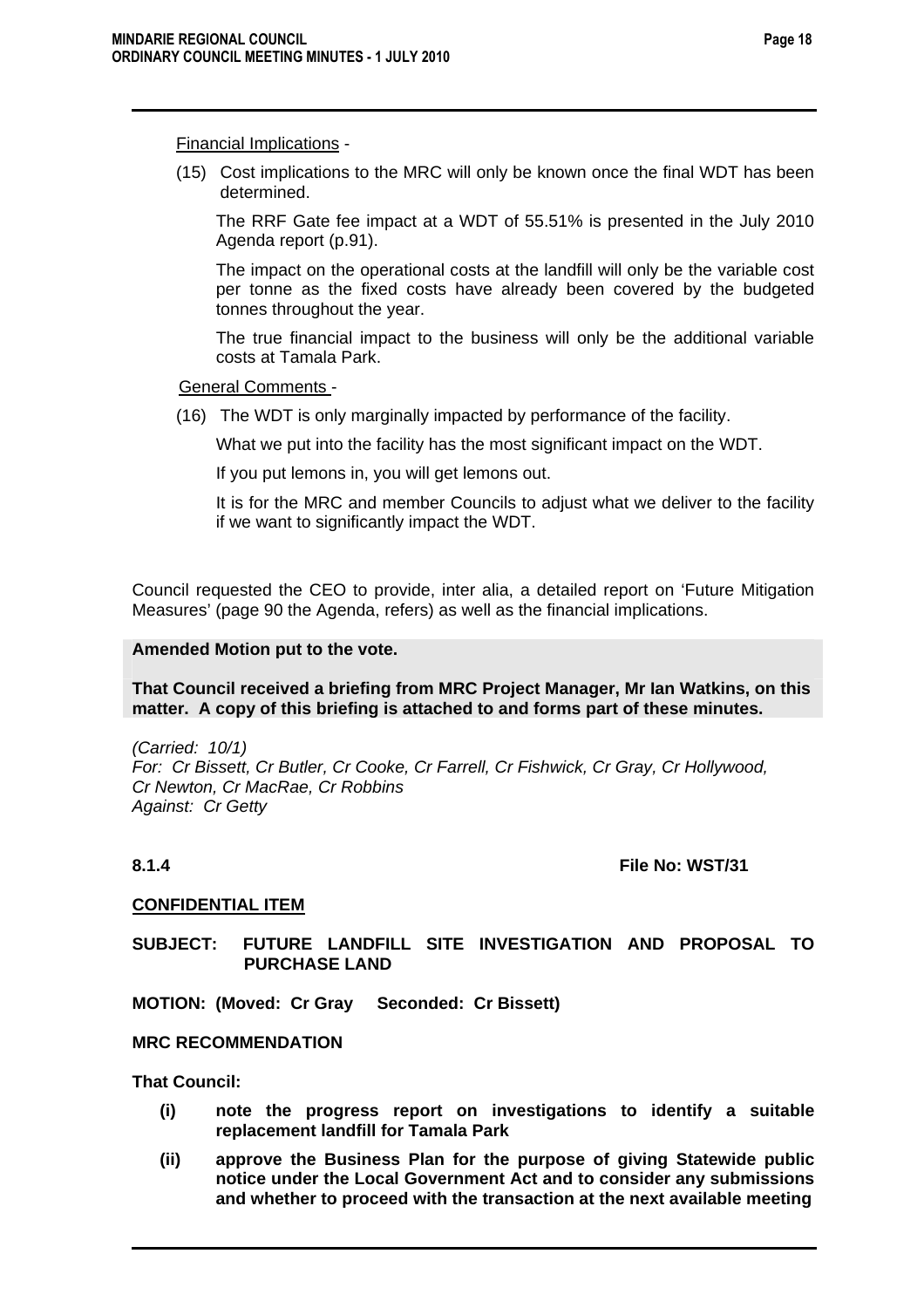# Financial Implications -

(15) Cost implications to the MRC will only be known once the final WDT has been determined.

The RRF Gate fee impact at a WDT of 55.51% is presented in the July 2010 Agenda report (p.91).

The impact on the operational costs at the landfill will only be the variable cost per tonne as the fixed costs have already been covered by the budgeted tonnes throughout the year.

The true financial impact to the business will only be the additional variable costs at Tamala Park.

#### General Comments -

(16) The WDT is only marginally impacted by performance of the facility.

What we put into the facility has the most significant impact on the WDT.

If you put lemons in, you will get lemons out.

It is for the MRC and member Councils to adjust what we deliver to the facility if we want to significantly impact the WDT.

Council requested the CEO to provide, inter alia, a detailed report on 'Future Mitigation Measures' (page 90 the Agenda, refers) as well as the financial implications.

# **Amended Motion put to the vote.**

# **That Council received a briefing from MRC Project Manager, Mr Ian Watkins, on this matter. A copy of this briefing is attached to and forms part of these minutes.**

*(Carried: 10/1) For: Cr Bissett, Cr Butler, Cr Cooke, Cr Farrell, Cr Fishwick, Cr Gray, Cr Hollywood, Cr Newton, Cr MacRae, Cr Robbins Against: Cr Getty* 

# **8.1.4** File No: WST/31

# **CONFIDENTIAL ITEM**

**SUBJECT: FUTURE LANDFILL SITE INVESTIGATION AND PROPOSAL TO PURCHASE LAND** 

**MOTION: (Moved: Cr Gray Seconded: Cr Bissett)** 

#### **MRC RECOMMENDATION**

**That Council:** 

- **(i) note the progress report on investigations to identify a suitable replacement landfill for Tamala Park**
- **(ii) approve the Business Plan for the purpose of giving Statewide public notice under the Local Government Act and to consider any submissions and whether to proceed with the transaction at the next available meeting**